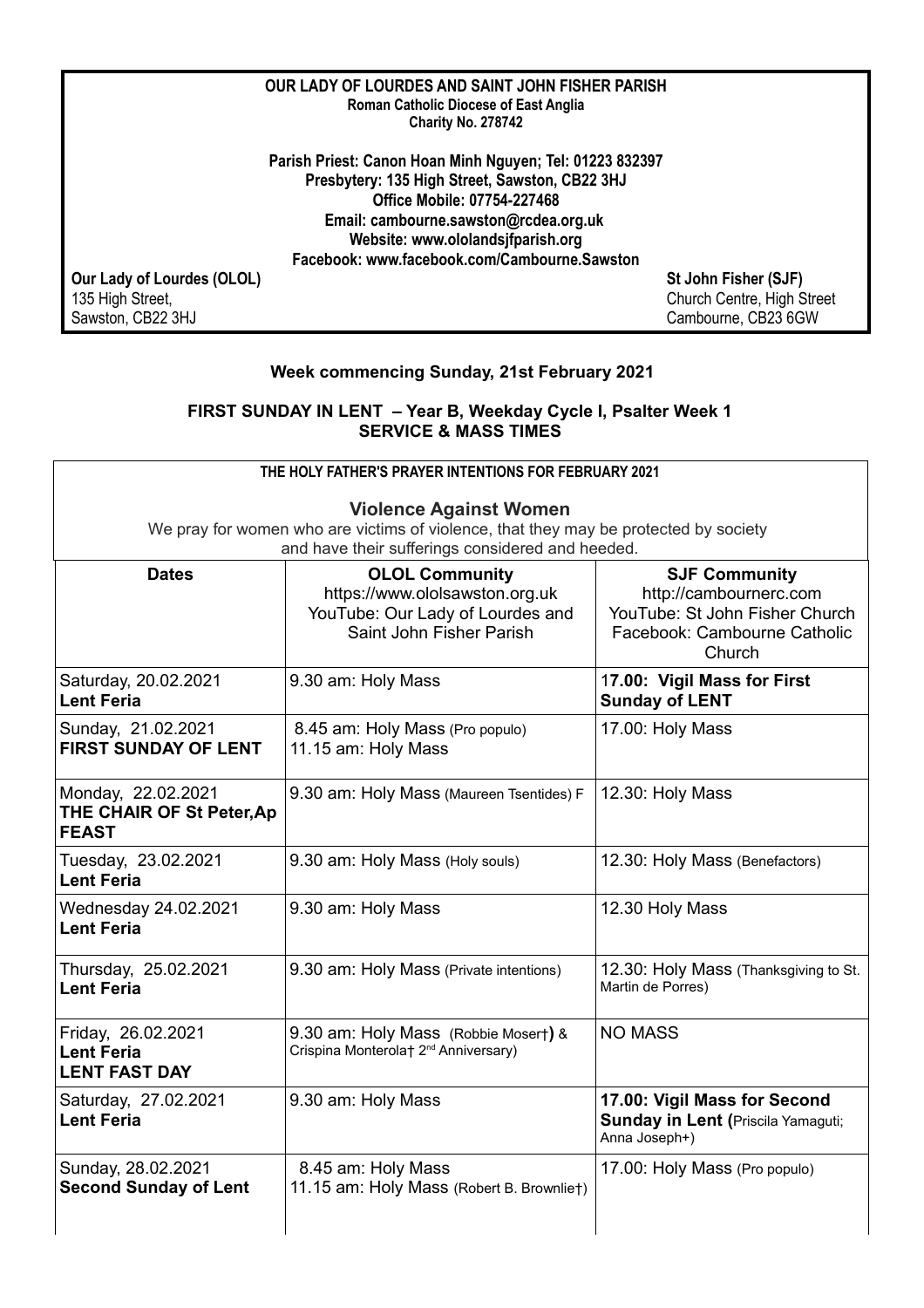| OUR LADY OF LOURDES AND SAINT JOHN FISHER PARISH<br><b>Roman Catholic Diocese of East Anglia</b><br>Charity No. 278742                                                                                                                                                         |                                                    |
|--------------------------------------------------------------------------------------------------------------------------------------------------------------------------------------------------------------------------------------------------------------------------------|----------------------------------------------------|
| Parish Priest: Canon Hoan Minh Nguyen; Tel: 01223 832397<br>Presbytery: 135 High Street, Sawston, CB22 3HJ<br><b>Office Mobile: 07754-227468</b><br>Email: cambourne.sawston@rcdea.org.uk<br>Website: www.ololandsjfparish.org<br>Facebook: www.facebook.com/Cambourne.Sawston |                                                    |
| Our Lady of Lourdes (OLOL)<br>135 High Street,                                                                                                                                                                                                                                 | St John Fisher (SJF)<br>Church Centre, High Street |
| Sawston, CB22 3HJ                                                                                                                                                                                                                                                              | Cambourne, CB23 6GW                                |

# **Week commencing Sunday, 21st February 2021**

#### **FIRST SUNDAY IN LENT – Year B, Weekday Cycle I, Psalter Week 1 SERVICE & MASS TIMES**

| THE HOLY FATHER'S PRAYER INTENTIONS FOR FEBRUARY 2021                                                                                                                     |                                                                                                                         |                                                                                                                            |  |
|---------------------------------------------------------------------------------------------------------------------------------------------------------------------------|-------------------------------------------------------------------------------------------------------------------------|----------------------------------------------------------------------------------------------------------------------------|--|
| <b>Violence Against Women</b><br>We pray for women who are victims of violence, that they may be protected by society<br>and have their sufferings considered and heeded. |                                                                                                                         |                                                                                                                            |  |
| <b>Dates</b>                                                                                                                                                              | <b>OLOL Community</b><br>https://www.ololsawston.org.uk<br>YouTube: Our Lady of Lourdes and<br>Saint John Fisher Parish | <b>SJF Community</b><br>http://cambournerc.com<br>YouTube: St John Fisher Church<br>Facebook: Cambourne Catholic<br>Church |  |
| Saturday, 20.02.2021<br><b>Lent Feria</b>                                                                                                                                 | 9.30 am: Holy Mass                                                                                                      | 17.00: Vigil Mass for First<br><b>Sunday of LENT</b>                                                                       |  |
| Sunday, 21.02.2021<br><b>FIRST SUNDAY OF LENT</b>                                                                                                                         | 8.45 am: Holy Mass (Pro populo)<br>11.15 am: Holy Mass                                                                  | 17.00: Holy Mass                                                                                                           |  |
| Monday, 22.02.2021<br>THE CHAIR OF St Peter, Ap<br><b>FEAST</b>                                                                                                           | 9.30 am: Holy Mass (Maureen Tsentides) F                                                                                | 12.30: Holy Mass                                                                                                           |  |
| Tuesday, 23.02.2021<br><b>Lent Feria</b>                                                                                                                                  | 9.30 am: Holy Mass (Holy souls)                                                                                         | 12.30: Holy Mass (Benefactors)                                                                                             |  |
| Wednesday 24.02.2021<br><b>Lent Feria</b>                                                                                                                                 | 9.30 am: Holy Mass                                                                                                      | 12.30 Holy Mass                                                                                                            |  |
| Thursday, 25.02.2021<br><b>Lent Feria</b>                                                                                                                                 | 9.30 am: Holy Mass (Private intentions)                                                                                 | 12.30: Holy Mass (Thanksgiving to St.<br>Martin de Porres)                                                                 |  |
| Friday, 26.02.2021<br><b>Lent Feria</b><br><b>LENT FAST DAY</b>                                                                                                           | 9.30 am: Holy Mass (Robbie Mosert) &<br>Crispina Monterola† 2 <sup>nd</sup> Anniversary)                                | <b>NO MASS</b>                                                                                                             |  |
| Saturday, 27.02.2021<br><b>Lent Feria</b>                                                                                                                                 | 9.30 am: Holy Mass                                                                                                      | 17.00: Vigil Mass for Second<br><b>Sunday in Lent (Priscila Yamaguti;</b><br>Anna Joseph+)                                 |  |
| Sunday, 28.02.2021<br><b>Second Sunday of Lent</b>                                                                                                                        | 8.45 am: Holy Mass<br>11.15 am: Holy Mass (Robert B. Brownliet)                                                         | 17.00: Holy Mass (Pro populo)                                                                                              |  |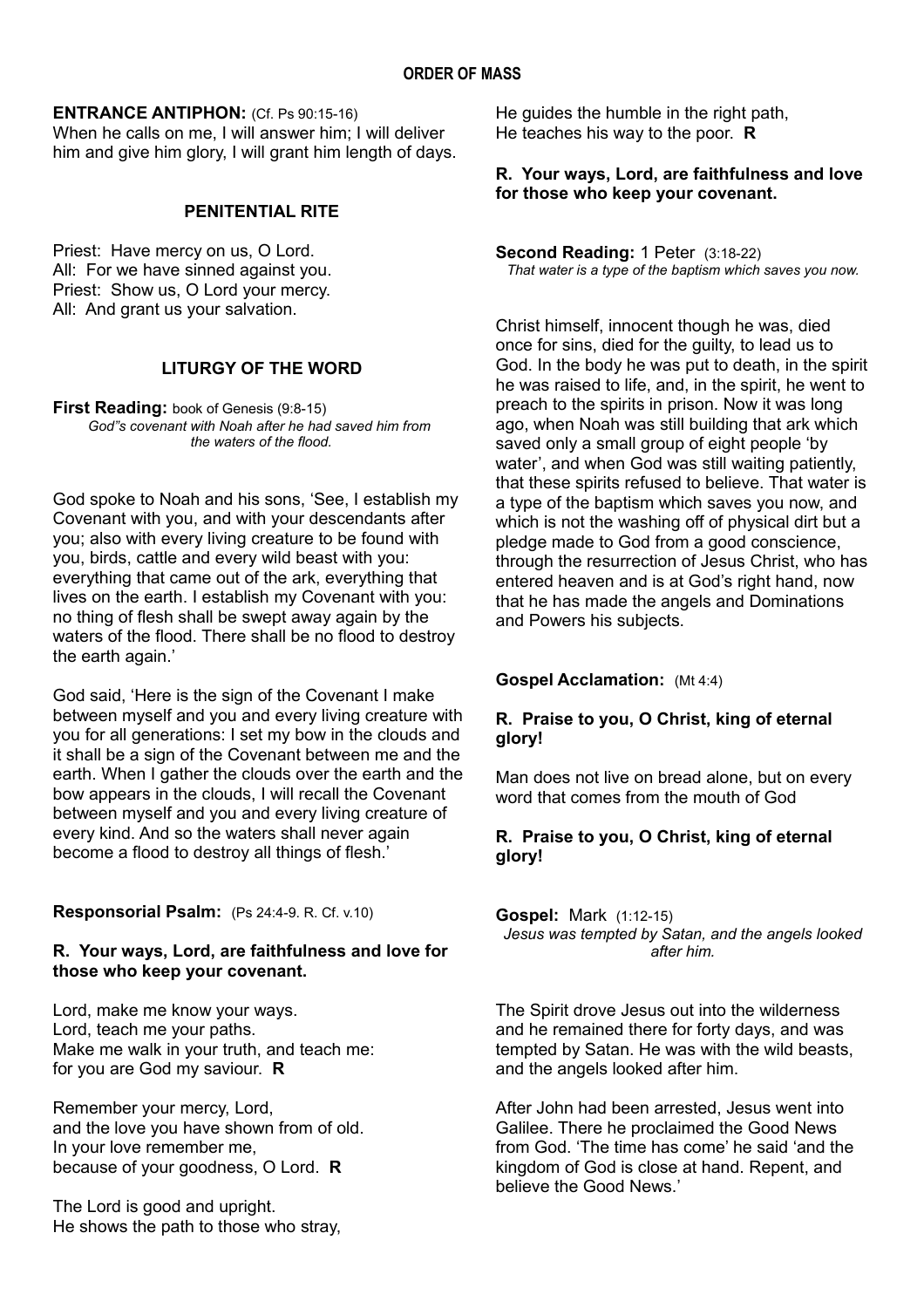**ENTRANCE ANTIPHON:** (Cf. Ps 90:15-16) When he calls on me, I will answer him; I will deliver him and give him glory, I will grant him length of days.

# **PENITENTIAL RITE**

Priest: Have mercy on us, O Lord. All: For we have sinned against you. Priest: Show us, O Lord your mercy. All:And grant us your salvation.

# **LITURGY OF THE WORD**

**First Reading:** book of Genesis (9:8-15) *God"s covenant with Noah after he had saved him from the waters of the flood.*

God spoke to Noah and his sons, 'See, I establish my Covenant with you, and with your descendants after you; also with every living creature to be found with you, birds, cattle and every wild beast with you: everything that came out of the ark, everything that lives on the earth. I establish my Covenant with you: no thing of flesh shall be swept away again by the waters of the flood. There shall be no flood to destroy the earth again.'

God said, 'Here is the sign of the Covenant I make between myself and you and every living creature with you for all generations: I set my bow in the clouds and it shall be a sign of the Covenant between me and the earth. When I gather the clouds over the earth and the bow appears in the clouds, I will recall the Covenant between myself and you and every living creature of every kind. And so the waters shall never again become a flood to destroy all things of flesh.'

# **Responsorial Psalm:** (Ps 24:4-9. R. Cf. v.10)

# **R. Your ways, Lord, are faithfulness and love for those who keep your covenant.**

Lord, make me know your ways. Lord, teach me your paths. Make me walk in your truth, and teach me: for you are God my saviour. **R**

Remember your mercy, Lord, and the love you have shown from of old. In your love remember me, because of your goodness, O Lord. **R**

The Lord is good and upright. He shows the path to those who stray,

He guides the humble in the right path, He teaches his way to the poor. **R**

#### **R. Your ways, Lord, are faithfulness and love for those who keep your covenant.**

#### **Second Reading:** 1 Peter (3:18-22) *That water is a type of the baptism which saves you now.*

Christ himself, innocent though he was, died once for sins, died for the guilty, to lead us to God. In the body he was put to death, in the spirit he was raised to life, and, in the spirit, he went to preach to the spirits in prison. Now it was long ago, when Noah was still building that ark which saved only a small group of eight people 'by water', and when God was still waiting patiently, that these spirits refused to believe. That water is a type of the baptism which saves you now, and which is not the washing off of physical dirt but a pledge made to God from a good conscience, through the resurrection of Jesus Christ, who has entered heaven and is at God's right hand, now that he has made the angels and Dominations and Powers his subjects.

# **Gospel Acclamation:** (Mt 4:4)

# **R. Praise to you, O Christ, king of eternal glory!**

Man does not live on bread alone, but on every word that comes from the mouth of God

# **R. Praise to you, O Christ, king of eternal glory!**

**Gospel:** Mark(1:12-15) *Jesus was tempted by Satan, and the angels looked after him.*

The Spirit drove Jesus out into the wilderness and he remained there for forty days, and was tempted by Satan. He was with the wild beasts, and the angels looked after him.

After John had been arrested, Jesus went into Galilee. There he proclaimed the Good News from God. 'The time has come' he said 'and the kingdom of God is close at hand. Repent, and believe the Good News.'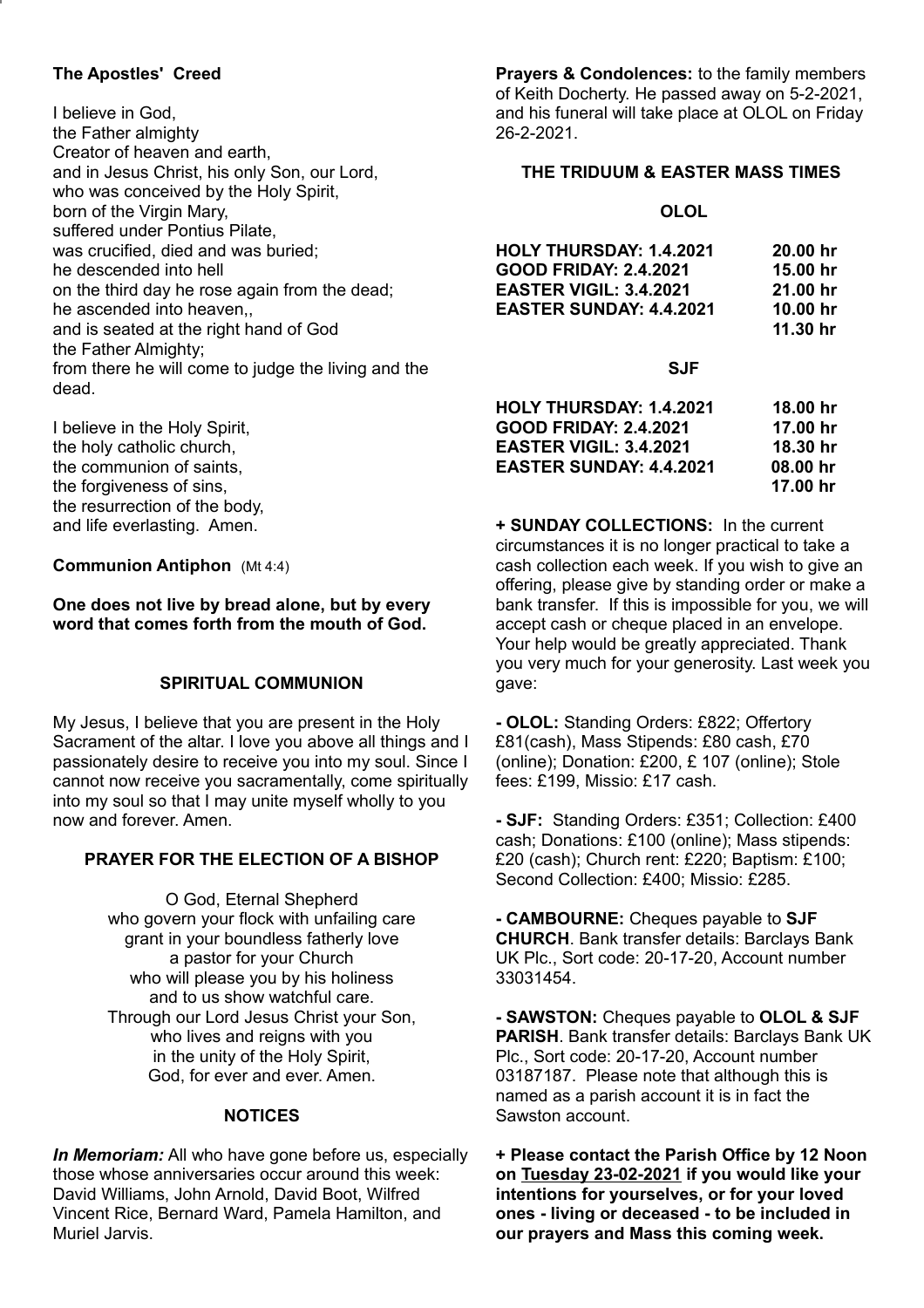# **The Apostles' Creed**

I believe in God, the Father almighty Creator of heaven and earth, and in Jesus Christ, his only Son, our Lord, who was conceived by the Holy Spirit, born of the Virgin Mary, suffered under Pontius Pilate, was crucified, died and was buried; he descended into hell on the third day he rose again from the dead; he ascended into heaven,, and is seated at the right hand of God the Father Almighty; from there he will come to judge the living and the dead.

I believe in the Holy Spirit, the holy catholic church, the communion of saints, the forgiveness of sins, the resurrection of the body, and life everlasting. Amen.

**Communion Antiphon** (Mt 4:4)

**One does not live by bread alone, but by every word that comes forth from the mouth of God.**

# **SPIRITUAL COMMUNION**

My Jesus, I believe that you are present in the Holy Sacrament of the altar. I love you above all things and I passionately desire to receive you into my soul. Since I cannot now receive you sacramentally, come spiritually into my soul so that I may unite myself wholly to you now and forever. Amen.

# **PRAYER FOR THE ELECTION OF A BISHOP**

O God, Eternal Shepherd who govern your flock with unfailing care grant in your boundless fatherly love a pastor for your Church who will please you by his holiness and to us show watchful care. Through our Lord Jesus Christ your Son, who lives and reigns with you in the unity of the Holy Spirit, God, for ever and ever. Amen.

#### **NOTICES**

*In Memoriam:* All who have gone before us, especially those whose anniversaries occur around this week: David Williams, John Arnold, David Boot, Wilfred Vincent Rice, Bernard Ward, Pamela Hamilton, and Muriel Jarvis.

**Prayers & Condolences:** to the family members of Keith Docherty. He passed away on 5-2-2021, and his funeral will take place at OLOL on Friday 26-2-2021.

#### **THE TRIDUUM & EASTER MASS TIMES**

#### **OLOL**

| <b>HOLY THURSDAY: 1.4.2021</b> | 20.00 hr |
|--------------------------------|----------|
| <b>GOOD FRIDAY: 2.4.2021</b>   | 15.00 hr |
| <b>EASTER VIGIL: 3.4.2021</b>  | 21.00 hr |
| <b>EASTER SUNDAY: 4.4.2021</b> | 10.00 hr |
|                                | 11.30 hr |

**SJF**

| <b>HOLY THURSDAY: 1.4.2021</b> | 18.00 hr            |
|--------------------------------|---------------------|
| <b>GOOD FRIDAY: 2.4.2021</b>   | 17.00 hr            |
| <b>EASTER VIGIL: 3.4.2021</b>  | 18.30 hr            |
| <b>EASTER SUNDAY: 4.4.2021</b> | 08.00 <sub>hr</sub> |
|                                | 17.00 hr            |

**+ SUNDAY COLLECTIONS:** In the current circumstances it is no longer practical to take a cash collection each week. If you wish to give an offering, please give by standing order or make a bank transfer. If this is impossible for you, we will accept cash or cheque placed in an envelope. Your help would be greatly appreciated. Thank you very much for your generosity. Last week you gave:

**- OLOL:** Standing Orders: £822; Offertory £81(cash), Mass Stipends: £80 cash, £70 (online); Donation: £200, £ 107 (online); Stole fees: £199, Missio: £17 cash.

**- SJF:** Standing Orders: £351; Collection: £400 cash; Donations: £100 (online); Mass stipends: £20 (cash); Church rent: £220; Baptism: £100; Second Collection: £400; Missio: £285.

**- CAMBOURNE:** Cheques payable to **SJF CHURCH**. Bank transfer details: Barclays Bank UK Plc., Sort code: 20-17-20, Account number 33031454.

**- SAWSTON:** Cheques payable to **OLOL & SJF PARISH**. Bank transfer details: Barclays Bank UK Plc., Sort code: 20-17-20, Account number 03187187. Please note that although this is named as a parish account it is in fact the Sawston account.

**+ Please contact the Parish Office by 12 Noon on Tuesday 23-02-2021 if you would like your intentions for yourselves, or for your loved ones - living or deceased - to be included in our prayers and Mass this coming week.**